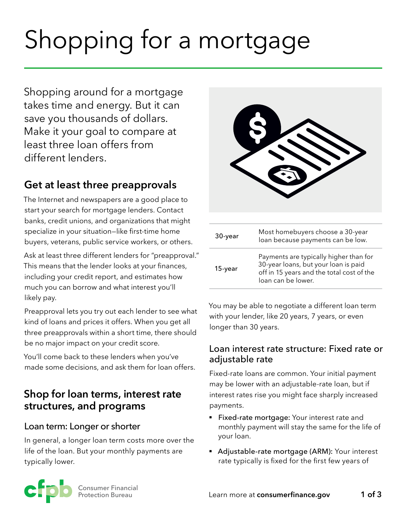# Shopping for a mortgage

Shopping around for a mortgage takes time and energy. But it can save you thousands of dollars. Make it your goal to compare at least three loan offers from different lenders.

# **Get at least three preapprovals**

The Internet and newspapers are a good place to start your search for mortgage lenders. Contact banks, credit unions, and organizations that might specialize in your situation—like first-time home buyers, veterans, public service workers, or others.

Ask at least three different lenders for "preapproval." This means that the lender looks at your finances, including your credit report, and estimates how much you can borrow and what interest you'll likely pay.

Preapproval lets you try out each lender to see what kind of loans and prices it offers. When you get all three preapprovals within a short time, there should be no major impact on your credit score.

You'll come back to these lenders when you've made some decisions, and ask them for loan offers.

# **Shop for loan terms, interest rate structures, and programs**

#### Loan term: Longer or shorter

In general, a longer loan term costs more over the life of the loan. But your monthly payments are typically lower.

| 30-year    | Most homebuyers choose a 30-year<br>loan because payments can be low.                                                                             |
|------------|---------------------------------------------------------------------------------------------------------------------------------------------------|
| $15$ -year | Payments are typically higher than for<br>30-year loans, but your loan is paid<br>off in 15 years and the total cost of the<br>loan can be lower. |

You may be able to negotiate a different loan term with your lender, like 20 years, 7 years, or even longer than 30 years.

#### Loan interest rate structure: Fixed rate or adjustable rate

Fixed-rate loans are common. Your initial payment may be lower with an adjustable-rate loan, but if interest rates rise you might face sharply increased payments.

- **Fixed-rate mortgage:** Your interest rate and monthly payment will stay the same for the life of your loan.
- Adjustable-rate mortgage (ARM): Your interest rate typically is fixed for the first few years of

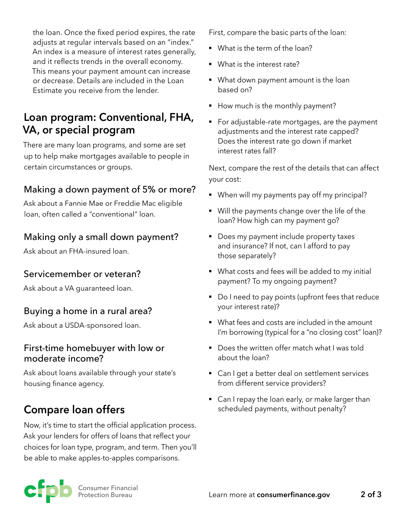the loan. Once the fixed period expires, the rate adjusts at regular intervals based on an "index." An index is a measure of interest rates generally, and it reflects trends in the overall economy. This means your payment amount can increase or decrease. Details are included in the Loan Estimate you receive from the lender.

# **Loan program: Conventional, FHA, VA, or special program**

There are many loan programs, and some are set up to help make mortgages available to people in certain circumstances or groups.

## Making a down payment of 5% or more?

Ask about a Fannie Mae or Freddie Mac eligible loan, often called a "conventional" loan.

## Making only a small down payment?

Ask about an FHA-insured loan.

#### Servicemember or veteran?

Ask about a VA guaranteed loan.

#### Buying a home in a rural area?

Ask about a USDA-sponsored loan.

#### First-time homebuyer with low or moderate income?

Ask about loans available through your state's housing finance agency.

# **Compare loan offers**

Now, it's time to start the official application process. Ask your lenders for offers of loans that reflect your choices for loan type, program, and term. Then you'll be able to make apples-to-apples comparisons.

First, compare the basic parts of the loan:

- § What is the term of the loan?
- What is the interest rate?
- What down payment amount is the loan based on?
- How much is the monthly payment?
- For adjustable-rate mortgages, are the payment adjustments and the interest rate capped? Does the interest rate go down if market interest rates fall?

Next, compare the rest of the details that can affect your cost:

- When will my payments pay off my principal?
- Will the payments change over the life of the loan? How high can my payment go?
- Does my payment include property taxes and insurance? If not, can I afford to pay those separately?
- What costs and fees will be added to my initial payment? To my ongoing payment?
- Do I need to pay points (upfront fees that reduce your interest rate)?
- § What fees and costs are included in the amount I'm borrowing (typical for a "no closing cost" loan)?
- Does the written offer match what I was told about the loan?
- Can I get a better deal on settlement services from different service providers?
- Can I repay the loan early, or make larger than scheduled payments, without penalty?